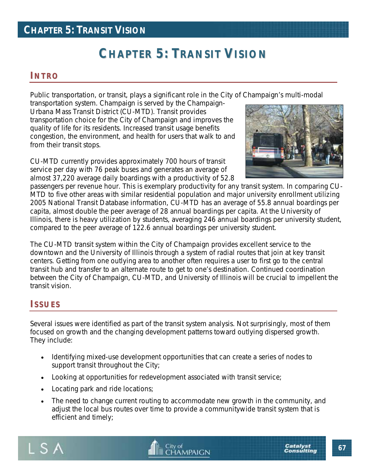## **CHAPTER 5: TRANSIT VISION**

# **CHAPTER 5: TRANSIT VISION**

### **I NT RO**

Public transportation, or transit, plays a significant role in the City of Champaign's multi-modal

transportation system. Champaign is served by the Champaign-Urbana Mass Transit District (CU-MTD). Transit provides transportation choice for the City of Champaign and improves the quality of life for its residents. Increased transit usage benefits congestion, the environment, and health for users that walk to and from their transit stops.

CU-MTD currently provides approximately 700 hours of transit service per day with 76 peak buses and generates an average of almost 37,220 average daily boardings with a productivity of 52.8



passengers per revenue hour. This is exemplary productivity for any transit system. In comparing CU-MTD to five other areas with similar residential population and major university enrollment utilizing 2005 National Transit Database information, CU-MTD has an average of 55.8 annual boardings per capita, almost double the peer average of 28 annual boardings per capita. At the University of Illinois, there is heavy utilization by students, averaging 246 annual boardings per university student, compared to the peer average of 122.6 annual boardings per university student.

The CU-MTD transit system within the City of Champaign provides excellent service to the downtown and the University of Illinois through a system of radial routes that join at key transit centers. Getting from one outlying area to another often requires a user to first go to the central transit hub and transfer to an alternate route to get to one's destination. Continued coordination between the City of Champaign, CU-MTD, and University of Illinois will be crucial to impellent the transit vision.

### **ISS UES**

Several issues were identified as part of the transit system analysis. Not surprisingly, most of them focused on growth and the changing development patterns toward outlying dispersed growth. They include:

- Identifying mixed-use development opportunities that can create a series of nodes to support transit throughout the City;
- Looking at opportunities for redevelopment associated with transit service;
- Locating park and ride locations;
- The need to change current routing to accommodate new growth in the community, and adjust the local bus routes over time to provide a communitywide transit system that is efficient and timely;



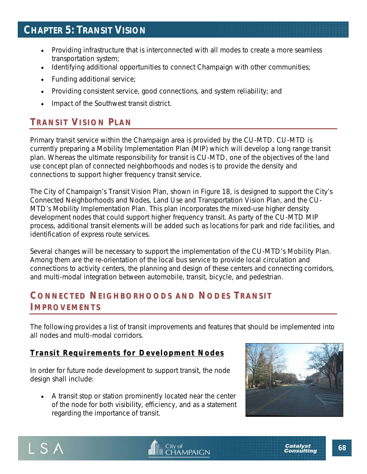- Providing infrastructure that is interconnected with all modes to create a more seamless transportation system;
- Identifying additional opportunities to connect Champaign with other communities;
- Funding additional service;
- Providing consistent service, good connections, and system reliability; and
- Impact of the Southwest transit district.

## **T RANSIT VISI ON PLAN**

Primary transit service within the Champaign area is provided by the CU-MTD. CU-MTD is currently preparing a Mobility Implementation Plan (MIP) which will develop a long range transit plan. Whereas the ultimate responsibility for transit is CU-MTD, one of the objectives of the land use concept plan of connected neighborhoods and nodes is to provide the density and connections to support higher frequency transit service.

The City of Champaign's Transit Vision Plan, shown in Figure 18, is designed to support the City's Connected Neighborhoods and Nodes, Land Use and Transportation Vision Plan, and the CU-MTD's Mobility Implementation Plan. This plan incorporates the mixed-use higher density development nodes that could support higher frequency transit. As party of the CU-MTD MIP process, additional transit elements will be added such as locations for park and ride facilities, and identification of express route services.

Several changes will be necessary to support the implementation of the CU-MTD's Mobility Plan. Among them are the re-orientation of the local bus service to provide local circulation and connections to activity centers, the planning and design of these centers and connecting corridors, and multi-modal integration between automobile, transit, bicycle, and pedestrian.

### **C ONNECTE D NEIGHBORHOODS AND NODES T RANSIT I MP ROVE ME NTS**

The following provides a list of transit improvements and features that should be implemented into all nodes and multi-modal corridors.

### **Transit Requirements for Development Nodes**

In order for future node development to support transit, the node design shall include:

• A transit stop or station prominently located near the center of the node for both visibility, efficiency, and as a statement regarding the importance of transit.





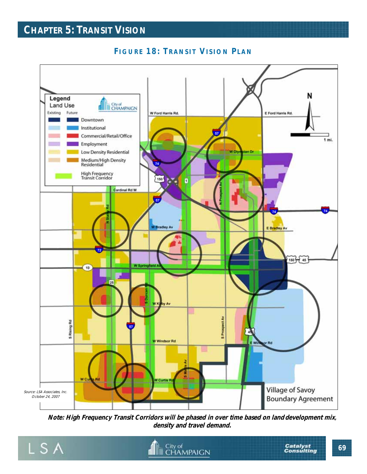## **CHAPTER 5: TRANSIT VISION**



### **FIGURE 18: TRANSIT VISION PLAN**

**Note: High Frequency Transit Corridors will be phased in over time based on land development mix, density and travel demand.**

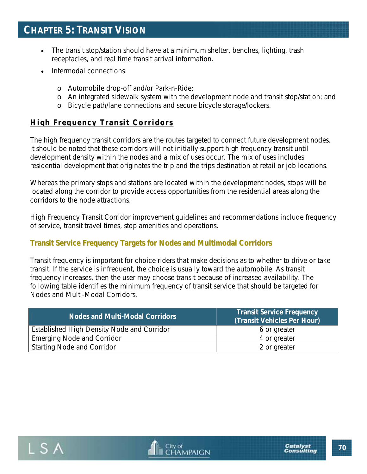- The transit stop/station should have at a minimum shelter, benches, lighting, trash receptacles, and real time transit arrival information.
- Intermodal connections:
	- o Automobile drop-off and/or Park-n-Ride;
	- o An integrated sidewalk system with the development node and transit stop/station; and
	- o Bicycle path/lane connections and secure bicycle storage/lockers.

### **High Frequency Transit Corridors**

The high frequency transit corridors are the routes targeted to connect future development nodes. It should be noted that these corridors will not initially support high frequency transit until development density within the nodes and a mix of uses occur. The mix of uses includes residential development that originates the trip and the trips destination at retail or job locations.

Whereas the primary stops and stations are located within the development nodes, stops will be located along the corridor to provide access opportunities from the residential areas along the corridors to the node attractions.

High Frequency Transit Corridor improvement guidelines and recommendations include frequency of service, transit travel times, stop amenities and operations.

### **Transit Service Frequency Targets for Nodes and Multimodal Corridors**

Transit frequency is important for choice riders that make decisions as to whether to drive or take transit. If the service is infrequent, the choice is usually toward the automobile. As transit frequency increases, then the user may choose transit because of increased availability. The following table identifies the minimum frequency of transit service that should be targeted for Nodes and Multi-Modal Corridors.

| Nodes and Multi-Modal Corridors            | <b>Transit Service Frequency</b><br>(Transit Vehicles Per Hour) |
|--------------------------------------------|-----------------------------------------------------------------|
| Established High Density Node and Corridor | 6 or greater                                                    |
| <b>Emerging Node and Corridor</b>          | 4 or greater                                                    |
| <b>Starting Node and Corridor</b>          | 2 or greater                                                    |



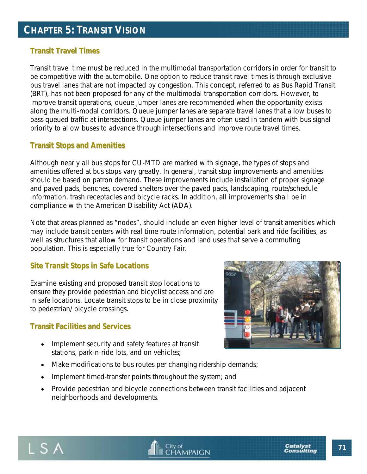#### **Transit Travel Times**

Transit travel time must be reduced in the multimodal transportation corridors in order for transit to be competitive with the automobile. One option to reduce transit ravel times is through exclusive bus travel lanes that are not impacted by congestion. This concept, referred to as Bus Rapid Transit (BRT), has not been proposed for any of the multimodal transportation corridors. However, to improve transit operations, queue jumper lanes are recommended when the opportunity exists along the multi-modal corridors. Queue jumper lanes are separate travel lanes that allow buses to pass queued traffic at intersections. Queue jumper lanes are often used in tandem with bus signal priority to allow buses to advance through intersections and improve route travel times.

#### **Transit Stops and Amenities**

Although nearly all bus stops for CU-MTD are marked with signage, the types of stops and amenities offered at bus stops vary greatly. In general, transit stop improvements and amenities should be based on patron demand. These improvements include installation of proper signage and paved pads, benches, covered shelters over the paved pads, landscaping, route/schedule information, trash receptacles and bicycle racks. In addition, all improvements shall be in compliance with the American Disability Act (ADA).

Note that areas planned as "nodes", should include an even higher level of transit amenities which may include transit centers with real time route information, potential park and ride facilities, as well as structures that allow for transit operations and land uses that serve a commuting population. This is especially true for Country Fair.

#### **Site Transit Stops in Safe Locations**

Examine existing and proposed transit stop locations to ensure they provide pedestrian and bicyclist access and are in safe locations. Locate transit stops to be in close proximity to pedestrian/ bicycle crossings.

#### **Transit Facilities and Services**

- Implement security and safety features at transit stations, park-n-ride lots, and on vehicles;
- Make modifications to bus routes per changing ridership demands;
- Implement timed-transfer points throughout the system; and
- Provide pedestrian and bicycle connections between transit facilities and adjacent neighborhoods and developments.





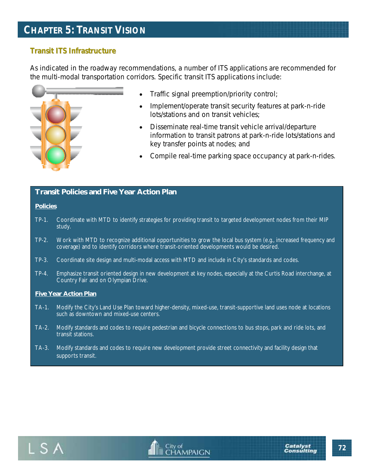## **CHAPTER 5: TRANSIT VISION**

#### **Transit ITS Infrastructure**

As indicated in the roadway recommendations, a number of ITS applications are recommended for the multi-modal transportation corridors. Specific transit ITS applications include:



- Traffic signal preemption/priority control;
- Implement/operate transit security features at park-n-ride lots/stations and on transit vehicles;
- Disseminate real-time transit vehicle arrival/departure information to transit patrons at park-n-ride lots/stations and key transfer points at nodes; and
- Compile real-time parking space occupancy at park-n-rides.

#### **Transit Policies and Five Year Action Plan**

#### **Policies**

- TP-1. Coordinate with MTD to identify strategies for providing transit to targeted development nodes from their MIP study.
- TP-2. Work with MTD to recognize additional opportunities to grow the local bus system (e.g., increased frequency and coverage) and to identify corridors where transit-oriented developments would be desired.
- TP-3. Coordinate site design and multi-modal access with MTD and include in City's standards and codes.
- TP-4. Emphasize transit oriented design in new development at key nodes, especially at the Curtis Road interchange, at Country Fair and on Olympian Drive.

#### **Five Year Action Plan**

- TA-1. Modify the City's Land Use Plan toward higher-density, mixed-use, transit-supportive land uses node at locations such as downtown and mixed-use centers.
- TA-2. Modify standards and codes to require pedestrian and bicycle connections to bus stops, park and ride lots, and transit stations.
- TA-3. Modify standards and codes to require new development provide street connectivity and facility design that supports transit.